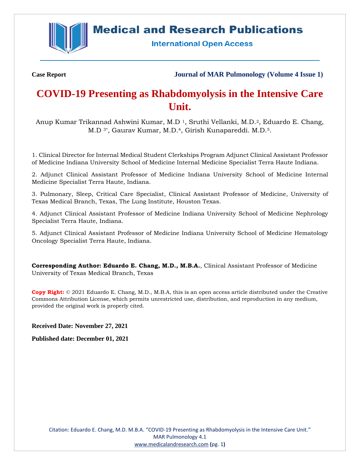

# **Medical and Research Publications**

**International Open Access** 

**Case Report Journal of MAR Pulmonology (Volume 4 Issue 1)**

# **COVID-19 Presenting as Rhabdomyolysis in the Intensive Care Unit.**

Anup Kumar Trikannad Ashwini Kumar, M.D 1, Sruthi Vellanki, M.D. <sup>2</sup>, Eduardo E. Chang, M.D 3\*, Gaurav Kumar, M.D.4, Girish Kunapareddi. M.D.5.

1. Clinical Director for Internal Medical Student Clerkships Program Adjunct Clinical Assistant Professor of Medicine Indiana University School of Medicine Internal Medicine Specialist Terra Haute Indiana.

2. Adjunct Clinical Assistant Professor of Medicine Indiana University School of Medicine Internal Medicine Specialist Terra Haute, Indiana.

3. Pulmonary, Sleep, Critical Care Specialist, Clinical Assistant Professor of Medicine, University of Texas Medical Branch, Texas, The Lung Institute, Houston Texas.

4. Adjunct Clinical Assistant Professor of Medicine Indiana University School of Medicine Nephrology Specialist Terra Haute, Indiana.

5. Adjunct Clinical Assistant Professor of Medicine Indiana University School of Medicine Hematology Oncology Specialist Terra Haute, Indiana.

**Corresponding Author: Eduardo E. Chang, M.D., M.B.A.**, Clinical Assistant Professor of Medicine University of Texas Medical Branch, Texas

**Copy Right:** © 2021 Eduardo E. Chang, M.D., M.B.A, this is an open access article distributed under the Creative Commons Attribution License, which permits unrestricted use, distribution, and reproduction in any medium, provided the original work is properly cited.

**Received Date: November 27, 2021**

**Published date: December 01, 2021**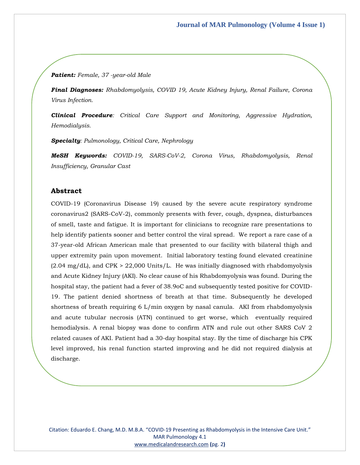#### *Patient: Female, 37 -year-old Male*

*Final Diagnoses: Rhabdomyolysis, COVID 19, Acute Kidney Injury, Renal Failure, Corona Virus Infection.*

*Clinical Procedure: Critical Care Support and Monitoring, Aggressive Hydration, Hemodialysis.* 

*Specialty: Pulmonology, Critical Care, Nephrology*

*MeSH Keywords: COVID-19, SARS-CoV-2, Corona Virus, Rhabdomyolysis, Renal Insufficiency, Granular Cast*

## **Abstract**

COVID-19 (Coronavirus Disease 19) caused by the severe acute respiratory syndrome coronavirus2 (SARS-CoV-2), commonly presents with fever, cough, dyspnea, disturbances of smell, taste and fatigue. It is important for clinicians to recognize rare presentations to help identify patients sooner and better control the viral spread. We report a rare case of a 37-year-old African American male that presented to our facility with bilateral thigh and upper extremity pain upon movement. Initial laboratory testing found elevated creatinine  $(2.04 \text{ mg/dL})$ , and CPK > 22,000 Units/L. He was initially diagnosed with rhabdomyolysis and Acute Kidney Injury (AKI). No clear cause of his Rhabdomyolysis was found. During the hospital stay, the patient had a fever of 38.9oC and subsequently tested positive for COVID-19. The patient denied shortness of breath at that time. Subsequently he developed shortness of breath requiring 6 L/min oxygen by nasal canula. AKI from rhabdomyolysis and acute tubular necrosis (ATN) continued to get worse, which eventually required hemodialysis. A renal biopsy was done to confirm ATN and rule out other SARS CoV 2 related causes of AKI. Patient had a 30-day hospital stay. By the time of discharge his CPK level improved, his renal function started improving and he did not required dialysis at discharge.

Citation: Eduardo E. Chang, M.D. M.B.A. "COVID-19 Presenting as Rhabdomyolysis in the Intensive Care Unit." MAR Pulmonology 4.1 [www.medicalandresearch.com](http://www.medicalandresearch.com/) **(**pg. 2**)**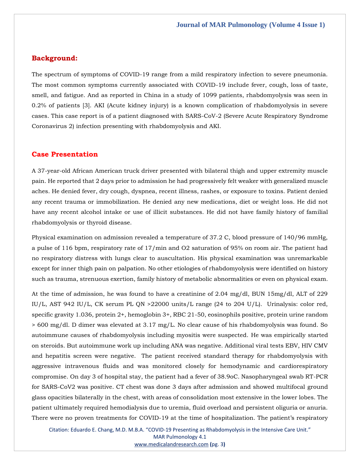## **Background:**

The spectrum of symptoms of COVID-19 range from a mild respiratory infection to severe pneumonia. The most common symptoms currently associated with COVID-19 include fever, cough, loss of taste, smell, and fatigue. And as reported in China in a study of 1099 patients, rhabdomyolysis was seen in 0.2% of patients [3]. AKI (Acute kidney injury) is a known complication of rhabdomyolysis in severe cases. This case report is of a patient diagnosed with SARS-CoV-2 (Severe Acute Respiratory Syndrome Coronavirus 2) infection presenting with rhabdomyolysis and AKI.

## **Case Presentation**

A 37-year-old African American truck driver presented with bilateral thigh and upper extremity muscle pain. He reported that 2 days prior to admission he had progressively felt weaker with generalized muscle aches. He denied fever, dry cough, dyspnea, recent illness, rashes, or exposure to toxins. Patient denied any recent trauma or immobilization. He denied any new medications, diet or weight loss. He did not have any recent alcohol intake or use of illicit substances. He did not have family history of familial rhabdomyolysis or thyroid disease.

Physical examination on admission revealed a temperature of 37.2 C, blood pressure of 140/96 mmHg, a pulse of 116 bpm, respiratory rate of 17/min and O2 saturation of 95% on room air. The patient had no respiratory distress with lungs clear to auscultation. His physical examination was unremarkable except for inner thigh pain on palpation. No other etiologies of rhabdomyolysis were identified on history such as trauma, strenuous exertion, family history of metabolic abnormalities or even on physical exam.

At the time of admission, he was found to have a creatinine of 2.04 mg/dl, BUN 15mg/dl, ALT of 229 IU/L, AST 942 IU/L, CK serum PL QN >22000 units/L range (24 to 204 U/L). Urinalysis: color red, specific gravity 1.036, protein 2+, hemoglobin 3+, RBC 21-50, eosinophils positive, protein urine random > 600 mg/dl. D dimer was elevated at 3.17 mg/L. No clear cause of his rhabdomyolysis was found. So autoimmune causes of rhabdomyolysis including myositis were suspected. He was empirically started on steroids. But autoimmune work up including ANA was negative. Additional viral tests EBV, HIV CMV and hepatitis screen were negative. The patient received standard therapy for rhabdomyolysis with aggressive intravenous fluids and was monitored closely for hemodynamic and cardiorespiratory compromise. On day 3 of hospital stay, the patient had a fever of 38.9oC. Nasopharyngeal swab RT-PCR for SARS-CoV2 was positive. CT chest was done 3 days after admission and showed multifocal ground glass opacities bilaterally in the chest, with areas of consolidation most extensive in the lower lobes. The patient ultimately required hemodialysis due to uremia, fluid overload and persistent oliguria or anuria. There were no proven treatments for COVID-19 at the time of hospitalization. The patient's respiratory

Citation: Eduardo E. Chang, M.D. M.B.A. "COVID-19 Presenting as Rhabdomyolysis in the Intensive Care Unit." MAR Pulmonology 4.1 [www.medicalandresearch.com](http://www.medicalandresearch.com/) **(**pg. 3**)**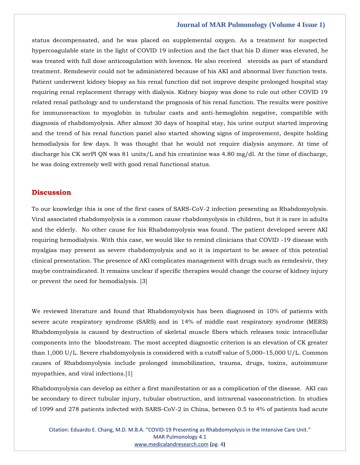#### **Journal of MAR Pulmonology (Volume 4 Issue 1)**

status decompensated, and he was placed on supplemental oxygen. As a treatment for suspected hypercoagulable state in the light of COVID 19 infection and the fact that his D dimer was elevated, he was treated with full dose anticoagulation with lovenox. He also received steroids as part of standard treatment. Remdesevir could not be administered because of his AKI and abnormal liver function tests. Patient underwent kidney biopsy as his renal function did not improve despite prolonged hospital stay requiring renal replacement therapy with dialysis. Kidney biopsy was done to rule out other COVID 19 related renal pathology and to understand the prognosis of his renal function. The results were positive for immunoreaction to myoglobin in tubular casts and anti-hemoglobin negative, compatible with diagnosis of rhabdomyolysis. After almost 30 days of hospital stay, his urine output started improving and the trend of his renal function panel also started showing signs of improvement, despite holding hemodialysis for few days. It was thought that he would not require dialysis anymore. At time of discharge his CK serPl QN was 81 units/L and his creatinine was 4.80 mg/dl. At the time of discharge, he was doing extremely well with good renal functional status.

## **Discussion**

To our knowledge this is one of the first cases of SARS-CoV-2 infection presenting as Rhabdomyolysis. Viral associated rhabdomyolysis is a common cause rhabdomyolysis in children, but it is rare in adults and the elderly. No other cause for his Rhabdomyolysis was found. The patient developed severe AKI requiring hemodialysis. With this case, we would like to remind clinicians that COVID -19 disease with myalgias may present as severe rhabdomyolysis and so it is important to be aware of this potential clinical presentation. The presence of AKI complicates management with drugs such as remdesivir, they maybe contraindicated. It remains unclear if specific therapies would change the course of kidney injury or prevent the need for hemodialysis. [3]

We reviewed literature and found that Rhabdomyolysis has been diagnosed in 10% of patients with severe acute respiratory syndrome (SARS) and in 14% of middle east respiratory syndrome (MERS) Rhabdomyolysis is caused by destruction of skeletal muscle fibers which releases toxic intracellular components into the bloodstream. The most accepted diagnostic criterion is an elevation of CK greater than 1,000 U/L. Severe rhabdomyolysis is considered with a cutoff value of 5,000–15,000 U/L. Common causes of Rhabdomyolysis include prolonged immobilization, trauma, drugs, toxins, autoimmune myopathies, and viral infections.[1]

Rhabdomyolysis can develop as either a first manifestation or as a complication of the disease. AKI can be secondary to direct tubular injury, tubular obstruction, and intrarenal vasoconstriction. In studies of 1099 and 278 patients infected with SARS-CoV-2 in China, between 0.5 to 4% of patients had acute

Citation: Eduardo E. Chang, M.D. M.B.A. "COVID-19 Presenting as Rhabdomyolysis in the Intensive Care Unit." MAR Pulmonology 4.1 [www.medicalandresearch.com](http://www.medicalandresearch.com/) **(**pg. 4**)**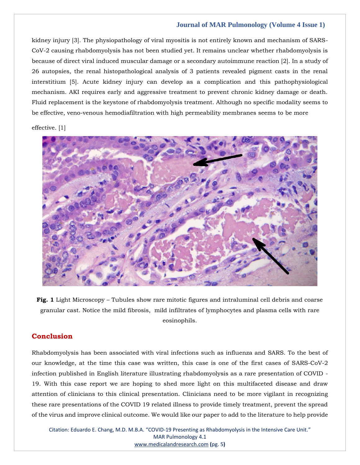## **Journal of MAR Pulmonology (Volume 4 Issue 1)**

kidney injury [3]. The physiopathology of viral myositis is not entirely known and mechanism of SARS-CoV-2 causing rhabdomyolysis has not been studied yet. It remains unclear whether rhabdomyolysis is because of direct viral induced muscular damage or a secondary autoimmune reaction [2]. In a study of 26 autopsies, the renal histopathological analysis of 3 patients revealed pigment casts in the renal interstitium [5]. Acute kidney injury can develop as a complication and this pathophysiological mechanism. AKI requires early and aggressive treatment to prevent chronic kidney damage or death. Fluid replacement is the keystone of rhabdomyolysis treatment. Although no specific modality seems to be effective, veno-venous hemodiafiltration with high permeability membranes seems to be more

effective. [1]



**Fig. 1** Light Microscopy – Tubules show rare mitotic figures and intraluminal cell debris and coarse granular cast. Notice the mild fibrosis, mild infiltrates of lymphocytes and plasma cells with rare eosinophils.

## **Conclusion**

Rhabdomyolysis has been associated with viral infections such as influenza and SARS. To the best of our knowledge, at the time this case was written, this case is one of the first cases of SARS-CoV-2 infection published in English literature illustrating rhabdomyolysis as a rare presentation of COVID - 19. With this case report we are hoping to shed more light on this multifaceted disease and draw attention of clinicians to this clinical presentation. Clinicians need to be more vigilant in recognizing these rare presentations of the COVID 19 related illness to provide timely treatment, prevent the spread of the virus and improve clinical outcome. We would like our paper to add to the literature to help provide

Citation: Eduardo E. Chang, M.D. M.B.A. "COVID-19 Presenting as Rhabdomyolysis in the Intensive Care Unit." MAR Pulmonology 4.1 [www.medicalandresearch.com](http://www.medicalandresearch.com/) **(**pg. 5**)**